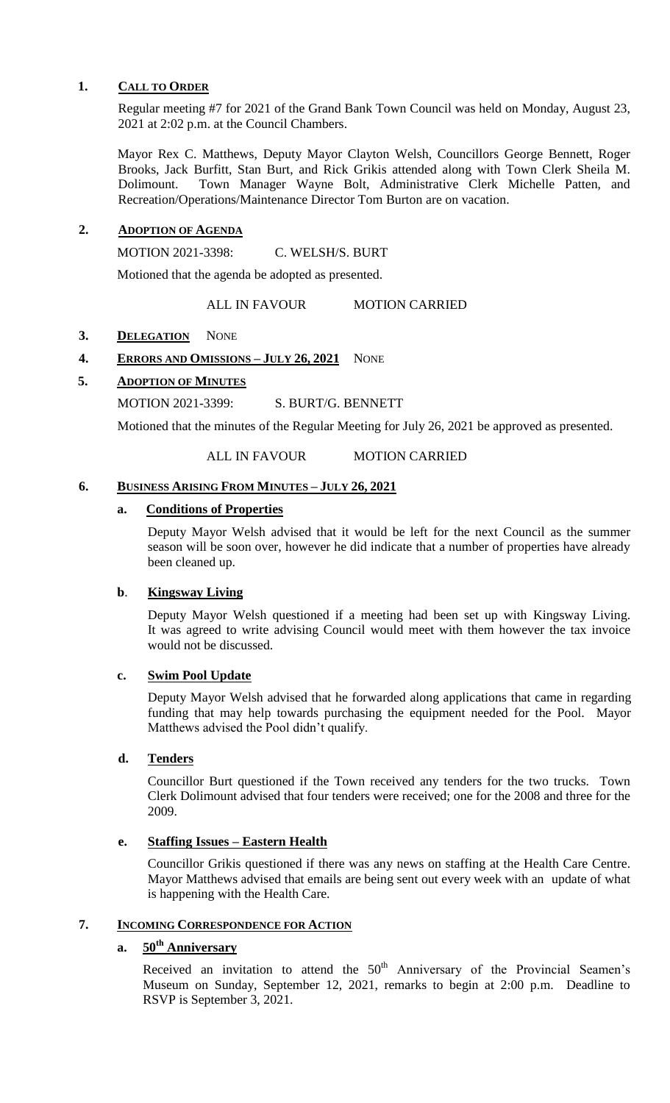## **1. CALL TO ORDER**

Regular meeting #7 for 2021 of the Grand Bank Town Council was held on Monday, August 23, 2021 at 2:02 p.m. at the Council Chambers.

Mayor Rex C. Matthews, Deputy Mayor Clayton Welsh, Councillors George Bennett, Roger Brooks, Jack Burfitt, Stan Burt, and Rick Grikis attended along with Town Clerk Sheila M. Dolimount. Town Manager Wayne Bolt, Administrative Clerk Michelle Patten, and Recreation/Operations/Maintenance Director Tom Burton are on vacation.

# **2. ADOPTION OF AGENDA**

MOTION 2021-3398: C. WELSH/S. BURT

Motioned that the agenda be adopted as presented.

ALL IN FAVOUR MOTION CARRIED

## 3. **DELEGATION** NONE

# **4. ERRORS AND OMISSIONS – JULY 26, 2021** NONE

# **5. ADOPTION OF MINUTES**

MOTION 2021-3399: S. BURT/G. BENNETT

Motioned that the minutes of the Regular Meeting for July 26, 2021 be approved as presented.

ALL IN FAVOUR MOTION CARRIED

## **6. BUSINESS ARISING FROM MINUTES – JULY 26, 2021**

# **a. Conditions of Properties**

Deputy Mayor Welsh advised that it would be left for the next Council as the summer season will be soon over, however he did indicate that a number of properties have already been cleaned up.

# **b**. **Kingsway Living**

Deputy Mayor Welsh questioned if a meeting had been set up with Kingsway Living. It was agreed to write advising Council would meet with them however the tax invoice would not be discussed.

## **c. Swim Pool Update**

Deputy Mayor Welsh advised that he forwarded along applications that came in regarding funding that may help towards purchasing the equipment needed for the Pool. Mayor Matthews advised the Pool didn't qualify.

## **d. Tenders**

Councillor Burt questioned if the Town received any tenders for the two trucks. Town Clerk Dolimount advised that four tenders were received; one for the 2008 and three for the 2009.

## **e. Staffing Issues – Eastern Health**

Councillor Grikis questioned if there was any news on staffing at the Health Care Centre. Mayor Matthews advised that emails are being sent out every week with an update of what is happening with the Health Care.

# **7. INCOMING CORRESPONDENCE FOR ACTION**

# **a. 50th Anniversary**

Received an invitation to attend the  $50<sup>th</sup>$  Anniversary of the Provincial Seamen's Museum on Sunday, September 12, 2021, remarks to begin at 2:00 p.m. Deadline to RSVP is September 3, 2021.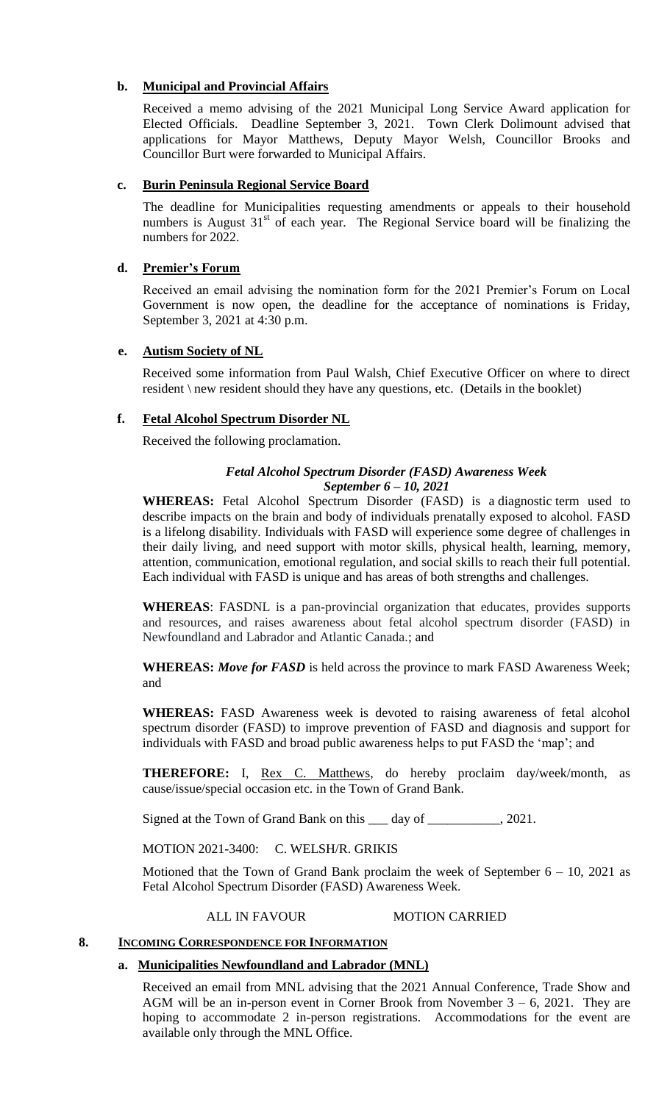# **b. Municipal and Provincial Affairs**

Received a memo advising of the 2021 Municipal Long Service Award application for Elected Officials. Deadline September 3, 2021. Town Clerk Dolimount advised that applications for Mayor Matthews, Deputy Mayor Welsh, Councillor Brooks and Councillor Burt were forwarded to Municipal Affairs.

## **c. Burin Peninsula Regional Service Board**

The deadline for Municipalities requesting amendments or appeals to their household numbers is August  $31<sup>st</sup>$  of each year. The Regional Service board will be finalizing the numbers for 2022.

# **d. Premier's Forum**

Received an email advising the nomination form for the 2021 Premier's Forum on Local Government is now open, the deadline for the acceptance of nominations is Friday, September 3, 2021 at 4:30 p.m.

## **e. Autism Society of NL**

Received some information from Paul Walsh, Chief Executive Officer on where to direct resident \ new resident should they have any questions, etc. (Details in the booklet)

# **f. Fetal Alcohol Spectrum Disorder NL**

Received the following proclamation.

## *Fetal Alcohol Spectrum Disorder (FASD) Awareness Week September 6 – 10, 2021*

**WHEREAS:** Fetal Alcohol Spectrum Disorder (FASD) is a [diagnostic](https://fasdontario.ca/service-areas/diagnostic/) term used to describe impacts on the brain and body of individuals prenatally exposed to alcohol. FASD is a lifelong disability. Individuals with FASD will experience some degree of challenges in their daily living, and need support with motor skills, physical health, learning, memory, attention, communication, emotional regulation, and social skills to reach their full potential. Each individual with FASD is unique and has areas of both strengths and challenges.

**WHEREAS**: FASDNL is a pan-provincial organization that educates, provides supports and resources, and raises awareness about fetal alcohol spectrum disorder (FASD) in Newfoundland and Labrador and Atlantic Canada.; and

**WHEREAS:** *Move for FASD* is held across the province to mark FASD Awareness Week; and

**WHEREAS:** FASD Awareness week is devoted to raising awareness of fetal alcohol spectrum disorder (FASD) to improve prevention of FASD and diagnosis and support for individuals with FASD and broad public awareness helps to put FASD the 'map'; and

**THEREFORE:** I, **Rex C. Matthews**, do hereby proclaim day/week/month, as cause/issue/special occasion etc. in the Town of Grand Bank.

Signed at the Town of Grand Bank on this \_\_\_ day of \_\_\_\_\_\_\_\_\_\_, 2021.

MOTION 2021-3400: C. WELSH/R. GRIKIS

Motioned that the Town of Grand Bank proclaim the week of September  $6 - 10$ , 2021 as Fetal Alcohol Spectrum Disorder (FASD) Awareness Week.

## ALL IN FAVOUR MOTION CARRIED

## **8. INCOMING CORRESPONDENCE FOR INFORMATION**

## **a. Municipalities Newfoundland and Labrador (MNL)**

Received an email from MNL advising that the 2021 Annual Conference, Trade Show and AGM will be an in-person event in Corner Brook from November  $3 - 6$ , 2021. They are hoping to accommodate 2 in-person registrations. Accommodations for the event are available only through the MNL Office.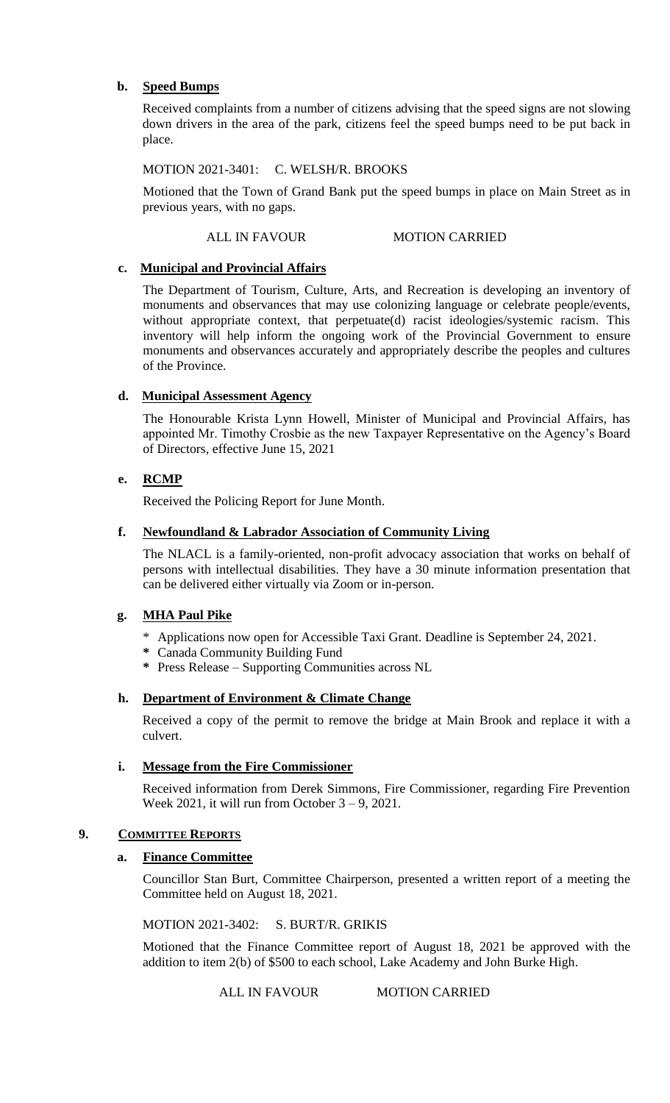# **b. Speed Bumps**

Received complaints from a number of citizens advising that the speed signs are not slowing down drivers in the area of the park, citizens feel the speed bumps need to be put back in place.

## MOTION 2021-3401: C. WELSH/R. BROOKS

Motioned that the Town of Grand Bank put the speed bumps in place on Main Street as in previous years, with no gaps.

## ALL IN FAVOUR MOTION CARRIED

# **c. Municipal and Provincial Affairs**

The Department of Tourism, Culture, Arts, and Recreation is developing an inventory of monuments and observances that may use colonizing language or celebrate people/events, without appropriate context, that perpetuate(d) racist ideologies/systemic racism. This inventory will help inform the ongoing work of the Provincial Government to ensure monuments and observances accurately and appropriately describe the peoples and cultures of the Province.

# **d. Municipal Assessment Agency**

The Honourable Krista Lynn Howell, Minister of Municipal and Provincial Affairs, has appointed Mr. Timothy Crosbie as the new Taxpayer Representative on the Agency's Board of Directors, effective June 15, 2021

# **e. RCMP**

Received the Policing Report for June Month.

## **f. Newfoundland & Labrador Association of Community Living**

The NLACL is a family-oriented, non-profit advocacy association that works on behalf of persons with intellectual disabilities. They have a 30 minute information presentation that can be delivered either virtually via Zoom or in-person.

# **g. MHA Paul Pike**

- \* Applications now open for Accessible Taxi Grant. Deadline is September 24, 2021.
- **\*** Canada Community Building Fund
- **\*** Press Release Supporting Communities across NL

## **h. Department of Environment & Climate Change**

Received a copy of the permit to remove the bridge at Main Brook and replace it with a culvert.

## **i. Message from the Fire Commissioner**

Received information from Derek Simmons, Fire Commissioner, regarding Fire Prevention Week  $2021$ , it will run from October  $3 - 9$ ,  $2021$ .

## **9. COMMITTEE REPORTS**

## **a. Finance Committee**

Councillor Stan Burt, Committee Chairperson, presented a written report of a meeting the Committee held on August 18, 2021.

MOTION 2021-3402: S. BURT/R. GRIKIS

Motioned that the Finance Committee report of August 18, 2021 be approved with the addition to item 2(b) of \$500 to each school, Lake Academy and John Burke High.

ALL IN FAVOUR MOTION CARRIED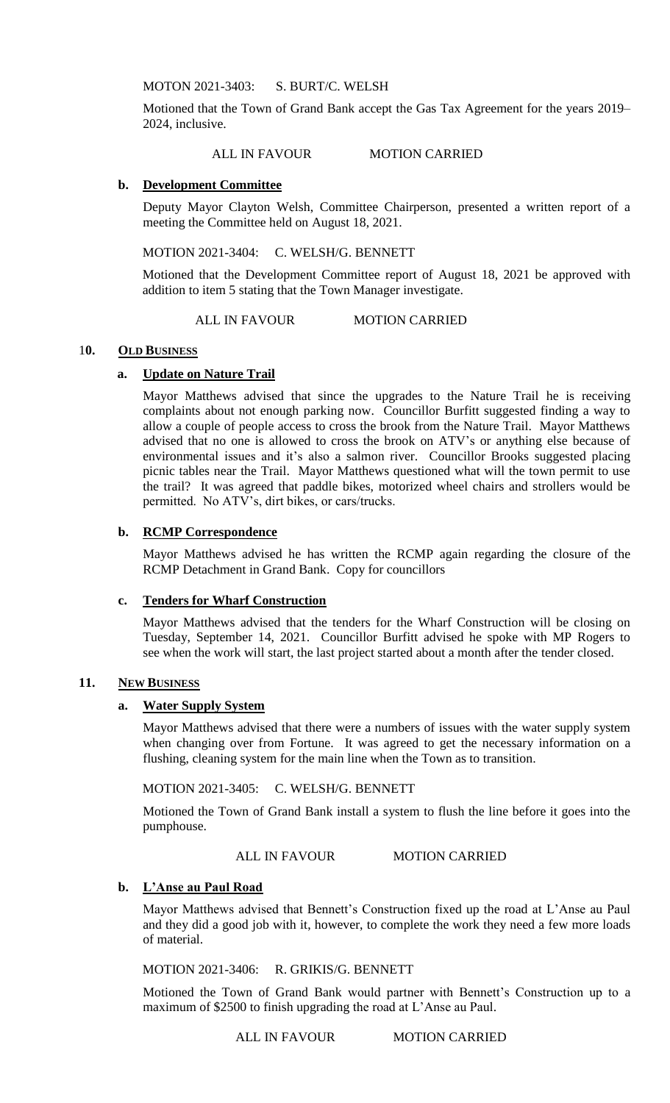MOTON 2021-3403: S. BURT/C. WELSH

Motioned that the Town of Grand Bank accept the Gas Tax Agreement for the years 2019– 2024, inclusive.

ALL IN FAVOUR MOTION CARRIED

### **b. Development Committee**

Deputy Mayor Clayton Welsh, Committee Chairperson, presented a written report of a meeting the Committee held on August 18, 2021.

MOTION 2021-3404: C. WELSH/G. BENNETT

Motioned that the Development Committee report of August 18, 2021 be approved with addition to item 5 stating that the Town Manager investigate.

ALL IN FAVOUR MOTION CARRIED

#### 10. OLD BUSINESS

## **a. Update on Nature Trail**

Mayor Matthews advised that since the upgrades to the Nature Trail he is receiving complaints about not enough parking now. Councillor Burfitt suggested finding a way to allow a couple of people access to cross the brook from the Nature Trail. Mayor Matthews advised that no one is allowed to cross the brook on ATV's or anything else because of environmental issues and it's also a salmon river. Councillor Brooks suggested placing picnic tables near the Trail. Mayor Matthews questioned what will the town permit to use the trail? It was agreed that paddle bikes, motorized wheel chairs and strollers would be permitted. No ATV's, dirt bikes, or cars/trucks.

### **b. RCMP Correspondence**

Mayor Matthews advised he has written the RCMP again regarding the closure of the RCMP Detachment in Grand Bank. Copy for councillors

#### **c. Tenders for Wharf Construction**

Mayor Matthews advised that the tenders for the Wharf Construction will be closing on Tuesday, September 14, 2021. Councillor Burfitt advised he spoke with MP Rogers to see when the work will start, the last project started about a month after the tender closed.

#### **11. NEW BUSINESS**

#### **a. Water Supply System**

Mayor Matthews advised that there were a numbers of issues with the water supply system when changing over from Fortune. It was agreed to get the necessary information on a flushing, cleaning system for the main line when the Town as to transition.

MOTION 2021-3405: C. WELSH/G. BENNETT

Motioned the Town of Grand Bank install a system to flush the line before it goes into the pumphouse.

ALL IN FAVOUR MOTION CARRIED

## **b. L'Anse au Paul Road**

Mayor Matthews advised that Bennett's Construction fixed up the road at L'Anse au Paul and they did a good job with it, however, to complete the work they need a few more loads of material.

MOTION 2021-3406: R. GRIKIS/G. BENNETT

Motioned the Town of Grand Bank would partner with Bennett's Construction up to a maximum of \$2500 to finish upgrading the road at L'Anse au Paul.

ALL IN FAVOUR MOTION CARRIED